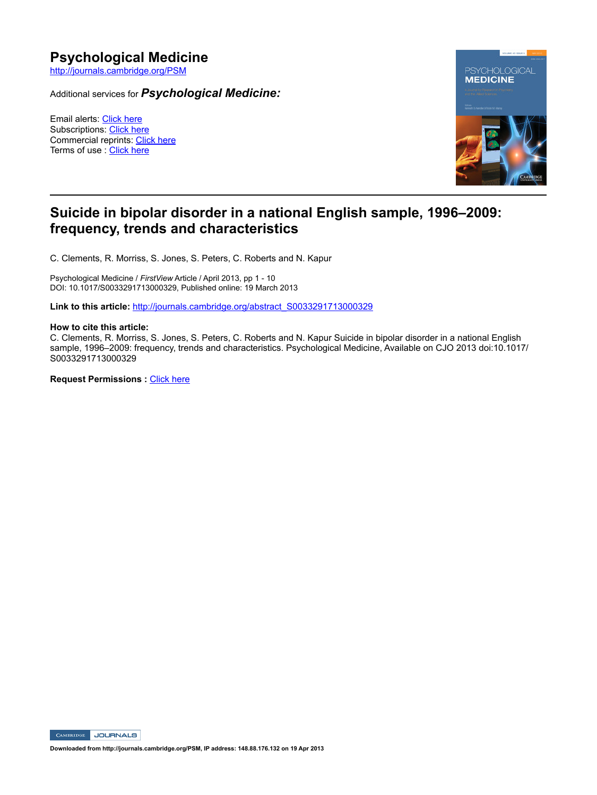# **Psychological Medicine**

http://journals.cambridge.org/PSM

Additional services for *Psychological Medicine:*

Email alerts: Click here Subscriptions: Click here Commercial reprints: Click here Terms of use : Click here



## **Suicide in bipolar disorder in a national English sample, 1996–2009: frequency, trends and characteristics**

C. Clements, R. Morriss, S. Jones, S. Peters, C. Roberts and N. Kapur

Psychological Medicine / *FirstView* Article / April 2013, pp 1 - 10 DOI: 10.1017/S0033291713000329, Published online: 19 March 2013

**Link to this article:** http://journals.cambridge.org/abstract\_S0033291713000329

## **How to cite this article:**

C. Clements, R. Morriss, S. Jones, S. Peters, C. Roberts and N. Kapur Suicide in bipolar disorder in a national English sample, 1996–2009: frequency, trends and characteristics. Psychological Medicine, Available on CJO 2013 doi:10.1017/ S0033291713000329

**Request Permissions :** Click here

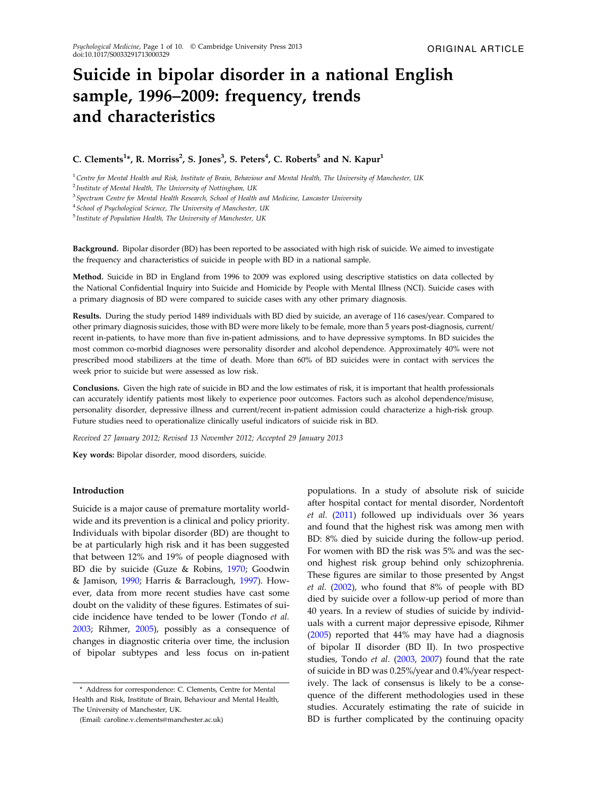## Suicide in bipolar disorder in a national English sample, 1996–2009: frequency, trends and characteristics

## C. Clements<sup>1</sup>\*, R. Morriss<sup>2</sup>, S. Jones<sup>3</sup>, S. Peters<sup>4</sup>, C. Roberts<sup>5</sup> and N. Kapur<sup>1</sup>

 $1$ Centre for Mental Health and Risk, Institute of Brain, Behaviour and Mental Health, The University of Manchester, UK

 $2$  Institute of Mental Health, The University of Nottingham, UK

<sup>3</sup> Spectrum Centre for Mental Health Research, School of Health and Medicine, Lancaster University

<sup>4</sup> School of Psychological Science, The University of Manchester, UK

<sup>5</sup> Institute of Population Health, The University of Manchester, UK

Background. Bipolar disorder (BD) has been reported to be associated with high risk of suicide. We aimed to investigate the frequency and characteristics of suicide in people with BD in a national sample.

Method. Suicide in BD in England from 1996 to 2009 was explored using descriptive statistics on data collected by the National Confidential Inquiry into Suicide and Homicide by People with Mental Illness (NCI). Suicide cases with a primary diagnosis of BD were compared to suicide cases with any other primary diagnosis.

Results. During the study period 1489 individuals with BD died by suicide, an average of 116 cases/year. Compared to other primary diagnosis suicides, those with BD were more likely to be female, more than 5 years post-diagnosis, current/ recent in-patients, to have more than five in-patient admissions, and to have depressive symptoms. In BD suicides the most common co-morbid diagnoses were personality disorder and alcohol dependence. Approximately 40% were not prescribed mood stabilizers at the time of death. More than 60% of BD suicides were in contact with services the week prior to suicide but were assessed as low risk.

Conclusions. Given the high rate of suicide in BD and the low estimates of risk, it is important that health professionals can accurately identify patients most likely to experience poor outcomes. Factors such as alcohol dependence/misuse, personality disorder, depressive illness and current/recent in-patient admission could characterize a high-risk group. Future studies need to operationalize clinically useful indicators of suicide risk in BD.

Received 27 January 2012; Revised 13 November 2012; Accepted 29 January 2013

Key words: Bipolar disorder, mood disorders, suicide.

## Introduction

Suicide is a major cause of premature mortality worldwide and its prevention is a clinical and policy priority. Individuals with bipolar disorder (BD) are thought to be at particularly high risk and it has been suggested that between 12% and 19% of people diagnosed with BD die by suicide (Guze & Robins, 1970; Goodwin & Jamison, 1990; Harris & Barraclough, 1997). However, data from more recent studies have cast some doubt on the validity of these figures. Estimates of suicide incidence have tended to be lower (Tondo et al. 2003; Rihmer, 2005), possibly as a consequence of changes in diagnostic criteria over time, the inclusion of bipolar subtypes and less focus on in-patient

(Email: caroline.v.clements@manchester.ac.uk)

populations. In a study of absolute risk of suicide after hospital contact for mental disorder, Nordentoft et al. (2011) followed up individuals over 36 years and found that the highest risk was among men with BD: 8% died by suicide during the follow-up period. For women with BD the risk was 5% and was the second highest risk group behind only schizophrenia. These figures are similar to those presented by Angst et al. (2002), who found that 8% of people with BD died by suicide over a follow-up period of more than 40 years. In a review of studies of suicide by individuals with a current major depressive episode, Rihmer (2005) reported that 44% may have had a diagnosis of bipolar II disorder (BD II). In two prospective studies, Tondo et al. (2003, 2007) found that the rate of suicide in BD was 0.25%/year and 0.4%/year respectively. The lack of consensus is likely to be a consequence of the different methodologies used in these studies. Accurately estimating the rate of suicide in BD is further complicated by the continuing opacity

<sup>\*</sup> Address for correspondence: C. Clements, Centre for Mental Health and Risk, Institute of Brain, Behaviour and Mental Health, The University of Manchester, UK.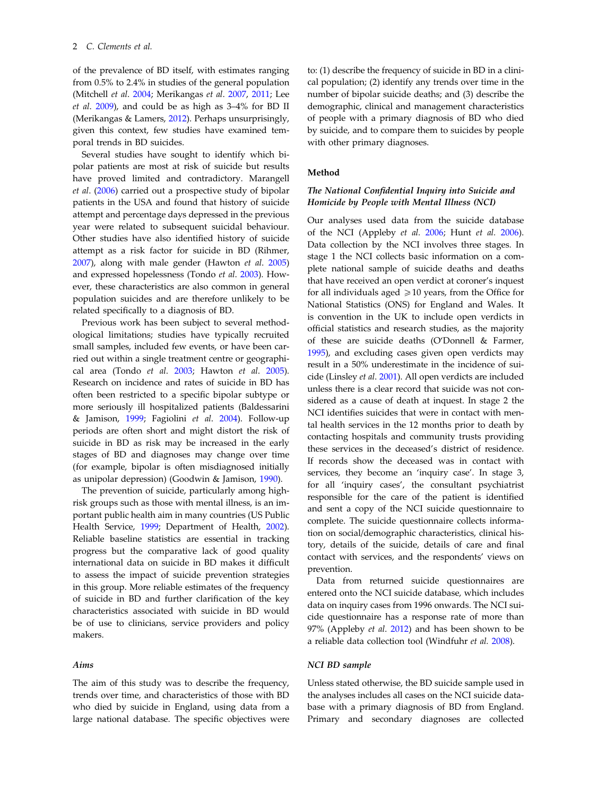of the prevalence of BD itself, with estimates ranging from 0.5% to 2.4% in studies of the general population (Mitchell et al. 2004; Merikangas et al. 2007, 2011; Lee et al. 2009), and could be as high as 3–4% for BD II (Merikangas & Lamers, 2012). Perhaps unsurprisingly, given this context, few studies have examined temporal trends in BD suicides.

Several studies have sought to identify which bipolar patients are most at risk of suicide but results have proved limited and contradictory. Marangell et al. (2006) carried out a prospective study of bipolar patients in the USA and found that history of suicide attempt and percentage days depressed in the previous year were related to subsequent suicidal behaviour. Other studies have also identified history of suicide attempt as a risk factor for suicide in BD (Rihmer, 2007), along with male gender (Hawton et al. 2005) and expressed hopelessness (Tondo et al. 2003). However, these characteristics are also common in general population suicides and are therefore unlikely to be related specifically to a diagnosis of BD.

Previous work has been subject to several methodological limitations; studies have typically recruited small samples, included few events, or have been carried out within a single treatment centre or geographical area (Tondo et al. 2003; Hawton et al. 2005). Research on incidence and rates of suicide in BD has often been restricted to a specific bipolar subtype or more seriously ill hospitalized patients (Baldessarini & Jamison, 1999; Fagiolini et al. 2004). Follow-up periods are often short and might distort the risk of suicide in BD as risk may be increased in the early stages of BD and diagnoses may change over time (for example, bipolar is often misdiagnosed initially as unipolar depression) (Goodwin & Jamison, 1990).

The prevention of suicide, particularly among highrisk groups such as those with mental illness, is an important public health aim in many countries (US Public Health Service, 1999; Department of Health, 2002). Reliable baseline statistics are essential in tracking progress but the comparative lack of good quality international data on suicide in BD makes it difficult to assess the impact of suicide prevention strategies in this group. More reliable estimates of the frequency of suicide in BD and further clarification of the key characteristics associated with suicide in BD would be of use to clinicians, service providers and policy makers.

#### Aims

The aim of this study was to describe the frequency, trends over time, and characteristics of those with BD who died by suicide in England, using data from a large national database. The specific objectives were

to: (1) describe the frequency of suicide in BD in a clinical population; (2) identify any trends over time in the number of bipolar suicide deaths; and (3) describe the demographic, clinical and management characteristics of people with a primary diagnosis of BD who died by suicide, and to compare them to suicides by people with other primary diagnoses.

#### Method

## The National Confidential Inquiry into Suicide and Homicide by People with Mental Illness (NCI)

Our analyses used data from the suicide database of the NCI (Appleby et al. 2006; Hunt et al. 2006). Data collection by the NCI involves three stages. In stage 1 the NCI collects basic information on a complete national sample of suicide deaths and deaths that have received an open verdict at coroner's inquest for all individuals aged  $\geq 10$  years, from the Office for National Statistics (ONS) for England and Wales. It is convention in the UK to include open verdicts in official statistics and research studies, as the majority of these are suicide deaths (O'Donnell & Farmer, 1995), and excluding cases given open verdicts may result in a 50% underestimate in the incidence of suicide (Linsley et al. 2001). All open verdicts are included unless there is a clear record that suicide was not considered as a cause of death at inquest. In stage 2 the NCI identifies suicides that were in contact with mental health services in the 12 months prior to death by contacting hospitals and community trusts providing these services in the deceased's district of residence. If records show the deceased was in contact with services, they become an 'inquiry case'. In stage 3, for all 'inquiry cases', the consultant psychiatrist responsible for the care of the patient is identified and sent a copy of the NCI suicide questionnaire to complete. The suicide questionnaire collects information on social/demographic characteristics, clinical history, details of the suicide, details of care and final contact with services, and the respondents' views on prevention.

Data from returned suicide questionnaires are entered onto the NCI suicide database, which includes data on inquiry cases from 1996 onwards. The NCI suicide questionnaire has a response rate of more than 97% (Appleby et al. 2012) and has been shown to be a reliable data collection tool (Windfuhr et al. 2008).

## NCI BD sample

Unless stated otherwise, the BD suicide sample used in the analyses includes all cases on the NCI suicide database with a primary diagnosis of BD from England. Primary and secondary diagnoses are collected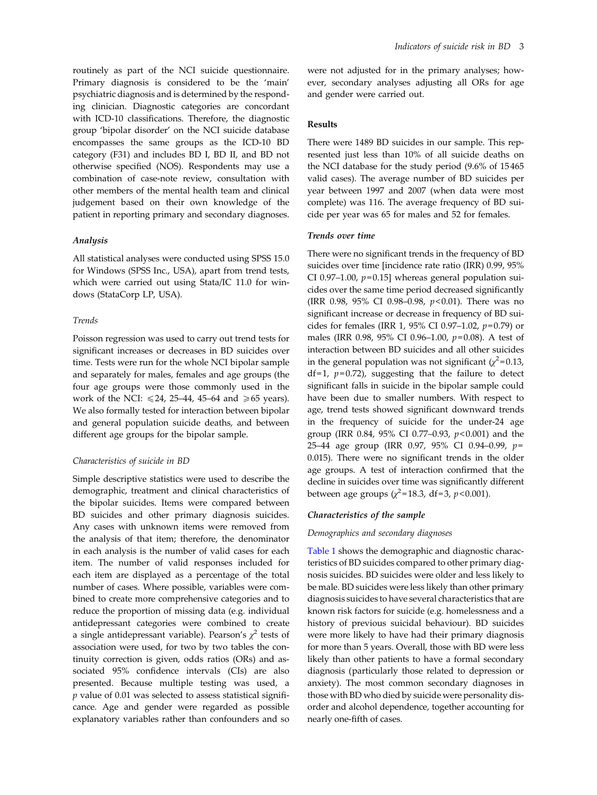routinely as part of the NCI suicide questionnaire. Primary diagnosis is considered to be the 'main' psychiatric diagnosis and is determined by the responding clinician. Diagnostic categories are concordant with ICD-10 classifications. Therefore, the diagnostic group 'bipolar disorder' on the NCI suicide database encompasses the same groups as the ICD-10 BD category (F31) and includes BD I, BD II, and BD not otherwise specified (NOS). Respondents may use a combination of case-note review, consultation with other members of the mental health team and clinical judgement based on their own knowledge of the patient in reporting primary and secondary diagnoses.

#### Analysis

All statistical analyses were conducted using SPSS 15.0 for Windows (SPSS Inc., USA), apart from trend tests, which were carried out using Stata/IC 11.0 for windows (StataCorp LP, USA).

## Trends

Poisson regression was used to carry out trend tests for significant increases or decreases in BD suicides over time. Tests were run for the whole NCI bipolar sample and separately for males, females and age groups (the four age groups were those commonly used in the work of the NCI:  $\leq 24$ , 25–44, 45–64 and  $\geq 65$  years). We also formally tested for interaction between bipolar and general population suicide deaths, and between different age groups for the bipolar sample.

#### Characteristics of suicide in BD

Simple descriptive statistics were used to describe the demographic, treatment and clinical characteristics of the bipolar suicides. Items were compared between BD suicides and other primary diagnosis suicides. Any cases with unknown items were removed from the analysis of that item; therefore, the denominator in each analysis is the number of valid cases for each item. The number of valid responses included for each item are displayed as a percentage of the total number of cases. Where possible, variables were combined to create more comprehensive categories and to reduce the proportion of missing data (e.g. individual antidepressant categories were combined to create a single antidepressant variable). Pearson's  $\chi^2$  tests of association were used, for two by two tables the continuity correction is given, odds ratios (ORs) and associated 95% confidence intervals (CIs) are also presented. Because multiple testing was used, a  $p$  value of 0.01 was selected to assess statistical significance. Age and gender were regarded as possible explanatory variables rather than confounders and so

were not adjusted for in the primary analyses; however, secondary analyses adjusting all ORs for age and gender were carried out.

## Results

There were 1489 BD suicides in our sample. This represented just less than 10% of all suicide deaths on the NCI database for the study period (9.6% of 15 465 valid cases). The average number of BD suicides per year between 1997 and 2007 (when data were most complete) was 116. The average frequency of BD suicide per year was 65 for males and 52 for females.

## Trends over time

There were no significant trends in the frequency of BD suicides over time [incidence rate ratio (IRR) 0.99, 95% CI 0.97–1.00,  $p=0.15$ ] whereas general population suicides over the same time period decreased significantly (IRR 0.98, 95% CI 0.98–0.98, p< 0.01). There was no significant increase or decrease in frequency of BD suicides for females (IRR 1, 95% CI 0.97-1.02,  $p=0.79$ ) or males (IRR 0.98, 95% CI 0.96-1.00,  $p=0.08$ ). A test of interaction between BD suicides and all other suicides in the general population was not significant  $(\chi^2=0.13,$ df=1,  $p=0.72$ ), suggesting that the failure to detect significant falls in suicide in the bipolar sample could have been due to smaller numbers. With respect to age, trend tests showed significant downward trends in the frequency of suicide for the under-24 age group (IRR 0.84, 95% CI 0.77–0.93, p< 0.001) and the 25–44 age group (IRR 0.97, 95% CI 0.94–0.99, p= 0.015). There were no significant trends in the older age groups. A test of interaction confirmed that the decline in suicides over time was significantly different between age groups ( $\chi^2$ =18.3, df=3, p<0.001).

## Characteristics of the sample

#### Demographics and secondary diagnoses

[Table 1](#page-4-0) shows the demographic and diagnostic characteristics of BD suicides compared to other primary diagnosis suicides. BD suicides were older and less likely to be male. BD suicides were less likely than other primary diagnosis suicides to have several characteristics that are known risk factors for suicide (e.g. homelessness and a history of previous suicidal behaviour). BD suicides were more likely to have had their primary diagnosis for more than 5 years. Overall, those with BD were less likely than other patients to have a formal secondary diagnosis (particularly those related to depression or anxiety). The most common secondary diagnoses in those with BD who died by suicide were personality disorder and alcohol dependence, together accounting for nearly one-fifth of cases.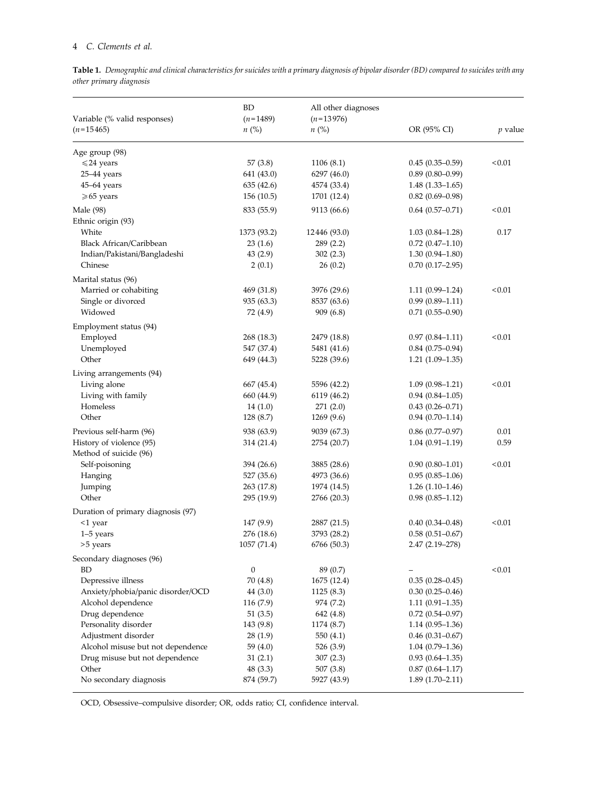## <span id="page-4-0"></span>4 C. Clements et al.

Table 1. Demographic and clinical characteristics for suicides with a primary diagnosis of bipolar disorder (BD) compared to suicides with any other primary diagnosis

| $n$ (%)<br>OR (95% CI)<br>$(n=15465)$<br>$n\ (\%)$<br>Age group (98)<br>57(3.8)<br>1106(8.1)<br>< 0.01<br>$\leq 24$ years<br>$0.45(0.35-0.59)$<br>$0.89(0.80 - 0.99)$<br>25-44 years<br>641 (43.0)<br>6297 (46.0)<br>$45-64$ years<br>635 (42.6)<br>4574 (33.4)<br>$1.48(1.33 - 1.65)$<br>$0.82$ (0.69-0.98)<br>$\geq 65$ years<br>156(10.5)<br>1701 (12.4)<br>Male (98)<br>833 (55.9)<br>9113 (66.6)<br>$0.64$ $(0.57-0.71)$<br>< 0.01<br>Ethnic origin (93)<br>White<br>1373 (93.2)<br>12446 (93.0)<br>$1.03(0.84 - 1.28)$<br>0.17<br>Black African/Caribbean<br>23(1.6)<br>289(2.2)<br>$0.72(0.47 - 1.10)$<br>$1.30(0.94 - 1.80)$<br>Indian/Pakistani/Bangladeshi<br>43(2.9)<br>302(2.3)<br>Chinese<br>$0.70(0.17-2.95)$<br>2(0.1)<br>26(0.2)<br>Marital status (96)<br>< 0.01<br>Married or cohabiting<br>469 (31.8)<br>3976 (29.6)<br>$1.11(0.99 - 1.24)$<br>$0.99(0.89 - 1.11)$<br>Single or divorced<br>935 (63.3)<br>8537 (63.6)<br>Widowed<br>909 (6.8)<br>$0.71(0.55 - 0.90)$<br>72 (4.9)<br>Employment status (94)<br>Employed<br>< 0.01<br>268 (18.3)<br>2479 (18.8)<br>$0.97(0.84 - 1.11)$<br>Unemployed<br>547 (37.4)<br>5481 (41.6)<br>$0.84(0.75-0.94)$<br>Other<br>649 (44.3)<br>5228 (39.6)<br>$1.21(1.09-1.35)$<br>Living arrangements (94)<br>Living alone<br>< 0.01<br>667 (45.4)<br>5596 (42.2)<br>$1.09(0.98 - 1.21)$<br>Living with family<br>660 (44.9)<br>6119 (46.2)<br>$0.94(0.84 - 1.05)$<br>Homeless<br>$0.43(0.26 - 0.71)$<br>14(1.0)<br>271(2.0)<br>Other<br>$0.94(0.70-1.14)$<br>128 (8.7)<br>1269(9.6)<br>Previous self-harm (96)<br>938 (63.9)<br>$0.86$ (0.77-0.97)<br>0.01<br>9039 (67.3)<br>History of violence (95)<br>314 (21.4)<br>2754 (20.7)<br>$1.04(0.91 - 1.19)$<br>0.59<br>Method of suicide (96)<br>< 0.01<br>Self-poisoning<br>394 (26.6)<br>3885 (28.6)<br>$0.90(0.80 - 1.01)$<br>Hanging<br>527 (35.6)<br>4973 (36.6)<br>$0.95(0.85-1.06)$<br>263 (17.8)<br>$1.26(1.10-1.46)$<br>Jumping<br>1974 (14.5)<br>Other<br>295 (19.9)<br>2766 (20.3)<br>$0.98(0.85-1.12)$<br>Duration of primary diagnosis (97)<br>< 0.01<br>147(9.9)<br>2887 (21.5)<br>$0.40(0.34 - 0.48)$<br><1 year<br>$1-5$ years<br>276 (18.6)<br>3793 (28.2)<br>$0.58(0.51 - 0.67)$<br>1057 (71.4)<br>6766 (50.3)<br>2.47 (2.19-278)<br>>5 years<br>Secondary diagnoses (96)<br>$\boldsymbol{0}$<br>< 0.01<br>BD<br>89 (0.7)<br>Depressive illness<br>70 (4.8)<br>1675 (12.4)<br>$0.35(0.28 - 0.45)$<br>Anxiety/phobia/panic disorder/OCD<br>44(3.0)<br>1125(8.3)<br>$0.30(0.25 - 0.46)$<br>Alcohol dependence<br>116(7.9)<br>974 (7.2)<br>$1.11(0.91-1.35)$<br>Drug dependence<br>51(3.5)<br>642 (4.8)<br>$0.72$ $(0.54 - 0.97)$<br>Personality disorder<br>143(9.8)<br>1174 (8.7)<br>$1.14(0.95-1.36)$<br>Adjustment disorder<br>$0.46$ (0.31-0.67)<br>28(1.9)<br>550 (4.1)<br>Alcohol misuse but not dependence<br>59 (4.0)<br>$1.04(0.79-1.36)$<br>526 (3.9)<br>$0.93(0.64 - 1.35)$<br>Drug misuse but not dependence<br>31(2.1)<br>307(2.3)<br>Other<br>$0.87(0.64 - 1.17)$<br>48 (3.3)<br>507 (3.8)<br>No secondary diagnosis<br>874 (59.7)<br>5927 (43.9)<br>$1.89(1.70-2.11)$ | Variable (% valid responses) | BD<br>$(n=1489)$ | All other diagnoses<br>$(n=13976)$ | $p$ value |
|---------------------------------------------------------------------------------------------------------------------------------------------------------------------------------------------------------------------------------------------------------------------------------------------------------------------------------------------------------------------------------------------------------------------------------------------------------------------------------------------------------------------------------------------------------------------------------------------------------------------------------------------------------------------------------------------------------------------------------------------------------------------------------------------------------------------------------------------------------------------------------------------------------------------------------------------------------------------------------------------------------------------------------------------------------------------------------------------------------------------------------------------------------------------------------------------------------------------------------------------------------------------------------------------------------------------------------------------------------------------------------------------------------------------------------------------------------------------------------------------------------------------------------------------------------------------------------------------------------------------------------------------------------------------------------------------------------------------------------------------------------------------------------------------------------------------------------------------------------------------------------------------------------------------------------------------------------------------------------------------------------------------------------------------------------------------------------------------------------------------------------------------------------------------------------------------------------------------------------------------------------------------------------------------------------------------------------------------------------------------------------------------------------------------------------------------------------------------------------------------------------------------------------------------------------------------------------------------------------------------------------------------------------------------------------------------------------------------------------------------------------------------------------------------------------------------------------------------------------------------------------------------------------------------------------------------------------------------------------------------------------------------------------------------------------------------------------------------------------|------------------------------|------------------|------------------------------------|-----------|
|                                                                                                                                                                                                                                                                                                                                                                                                                                                                                                                                                                                                                                                                                                                                                                                                                                                                                                                                                                                                                                                                                                                                                                                                                                                                                                                                                                                                                                                                                                                                                                                                                                                                                                                                                                                                                                                                                                                                                                                                                                                                                                                                                                                                                                                                                                                                                                                                                                                                                                                                                                                                                                                                                                                                                                                                                                                                                                                                                                                                                                                                                                         |                              |                  |                                    |           |
|                                                                                                                                                                                                                                                                                                                                                                                                                                                                                                                                                                                                                                                                                                                                                                                                                                                                                                                                                                                                                                                                                                                                                                                                                                                                                                                                                                                                                                                                                                                                                                                                                                                                                                                                                                                                                                                                                                                                                                                                                                                                                                                                                                                                                                                                                                                                                                                                                                                                                                                                                                                                                                                                                                                                                                                                                                                                                                                                                                                                                                                                                                         |                              |                  |                                    |           |
|                                                                                                                                                                                                                                                                                                                                                                                                                                                                                                                                                                                                                                                                                                                                                                                                                                                                                                                                                                                                                                                                                                                                                                                                                                                                                                                                                                                                                                                                                                                                                                                                                                                                                                                                                                                                                                                                                                                                                                                                                                                                                                                                                                                                                                                                                                                                                                                                                                                                                                                                                                                                                                                                                                                                                                                                                                                                                                                                                                                                                                                                                                         |                              |                  |                                    |           |
|                                                                                                                                                                                                                                                                                                                                                                                                                                                                                                                                                                                                                                                                                                                                                                                                                                                                                                                                                                                                                                                                                                                                                                                                                                                                                                                                                                                                                                                                                                                                                                                                                                                                                                                                                                                                                                                                                                                                                                                                                                                                                                                                                                                                                                                                                                                                                                                                                                                                                                                                                                                                                                                                                                                                                                                                                                                                                                                                                                                                                                                                                                         |                              |                  |                                    |           |
|                                                                                                                                                                                                                                                                                                                                                                                                                                                                                                                                                                                                                                                                                                                                                                                                                                                                                                                                                                                                                                                                                                                                                                                                                                                                                                                                                                                                                                                                                                                                                                                                                                                                                                                                                                                                                                                                                                                                                                                                                                                                                                                                                                                                                                                                                                                                                                                                                                                                                                                                                                                                                                                                                                                                                                                                                                                                                                                                                                                                                                                                                                         |                              |                  |                                    |           |
|                                                                                                                                                                                                                                                                                                                                                                                                                                                                                                                                                                                                                                                                                                                                                                                                                                                                                                                                                                                                                                                                                                                                                                                                                                                                                                                                                                                                                                                                                                                                                                                                                                                                                                                                                                                                                                                                                                                                                                                                                                                                                                                                                                                                                                                                                                                                                                                                                                                                                                                                                                                                                                                                                                                                                                                                                                                                                                                                                                                                                                                                                                         |                              |                  |                                    |           |
|                                                                                                                                                                                                                                                                                                                                                                                                                                                                                                                                                                                                                                                                                                                                                                                                                                                                                                                                                                                                                                                                                                                                                                                                                                                                                                                                                                                                                                                                                                                                                                                                                                                                                                                                                                                                                                                                                                                                                                                                                                                                                                                                                                                                                                                                                                                                                                                                                                                                                                                                                                                                                                                                                                                                                                                                                                                                                                                                                                                                                                                                                                         |                              |                  |                                    |           |
|                                                                                                                                                                                                                                                                                                                                                                                                                                                                                                                                                                                                                                                                                                                                                                                                                                                                                                                                                                                                                                                                                                                                                                                                                                                                                                                                                                                                                                                                                                                                                                                                                                                                                                                                                                                                                                                                                                                                                                                                                                                                                                                                                                                                                                                                                                                                                                                                                                                                                                                                                                                                                                                                                                                                                                                                                                                                                                                                                                                                                                                                                                         |                              |                  |                                    |           |
|                                                                                                                                                                                                                                                                                                                                                                                                                                                                                                                                                                                                                                                                                                                                                                                                                                                                                                                                                                                                                                                                                                                                                                                                                                                                                                                                                                                                                                                                                                                                                                                                                                                                                                                                                                                                                                                                                                                                                                                                                                                                                                                                                                                                                                                                                                                                                                                                                                                                                                                                                                                                                                                                                                                                                                                                                                                                                                                                                                                                                                                                                                         |                              |                  |                                    |           |
|                                                                                                                                                                                                                                                                                                                                                                                                                                                                                                                                                                                                                                                                                                                                                                                                                                                                                                                                                                                                                                                                                                                                                                                                                                                                                                                                                                                                                                                                                                                                                                                                                                                                                                                                                                                                                                                                                                                                                                                                                                                                                                                                                                                                                                                                                                                                                                                                                                                                                                                                                                                                                                                                                                                                                                                                                                                                                                                                                                                                                                                                                                         |                              |                  |                                    |           |
|                                                                                                                                                                                                                                                                                                                                                                                                                                                                                                                                                                                                                                                                                                                                                                                                                                                                                                                                                                                                                                                                                                                                                                                                                                                                                                                                                                                                                                                                                                                                                                                                                                                                                                                                                                                                                                                                                                                                                                                                                                                                                                                                                                                                                                                                                                                                                                                                                                                                                                                                                                                                                                                                                                                                                                                                                                                                                                                                                                                                                                                                                                         |                              |                  |                                    |           |
|                                                                                                                                                                                                                                                                                                                                                                                                                                                                                                                                                                                                                                                                                                                                                                                                                                                                                                                                                                                                                                                                                                                                                                                                                                                                                                                                                                                                                                                                                                                                                                                                                                                                                                                                                                                                                                                                                                                                                                                                                                                                                                                                                                                                                                                                                                                                                                                                                                                                                                                                                                                                                                                                                                                                                                                                                                                                                                                                                                                                                                                                                                         |                              |                  |                                    |           |
|                                                                                                                                                                                                                                                                                                                                                                                                                                                                                                                                                                                                                                                                                                                                                                                                                                                                                                                                                                                                                                                                                                                                                                                                                                                                                                                                                                                                                                                                                                                                                                                                                                                                                                                                                                                                                                                                                                                                                                                                                                                                                                                                                                                                                                                                                                                                                                                                                                                                                                                                                                                                                                                                                                                                                                                                                                                                                                                                                                                                                                                                                                         |                              |                  |                                    |           |
|                                                                                                                                                                                                                                                                                                                                                                                                                                                                                                                                                                                                                                                                                                                                                                                                                                                                                                                                                                                                                                                                                                                                                                                                                                                                                                                                                                                                                                                                                                                                                                                                                                                                                                                                                                                                                                                                                                                                                                                                                                                                                                                                                                                                                                                                                                                                                                                                                                                                                                                                                                                                                                                                                                                                                                                                                                                                                                                                                                                                                                                                                                         |                              |                  |                                    |           |
|                                                                                                                                                                                                                                                                                                                                                                                                                                                                                                                                                                                                                                                                                                                                                                                                                                                                                                                                                                                                                                                                                                                                                                                                                                                                                                                                                                                                                                                                                                                                                                                                                                                                                                                                                                                                                                                                                                                                                                                                                                                                                                                                                                                                                                                                                                                                                                                                                                                                                                                                                                                                                                                                                                                                                                                                                                                                                                                                                                                                                                                                                                         |                              |                  |                                    |           |
|                                                                                                                                                                                                                                                                                                                                                                                                                                                                                                                                                                                                                                                                                                                                                                                                                                                                                                                                                                                                                                                                                                                                                                                                                                                                                                                                                                                                                                                                                                                                                                                                                                                                                                                                                                                                                                                                                                                                                                                                                                                                                                                                                                                                                                                                                                                                                                                                                                                                                                                                                                                                                                                                                                                                                                                                                                                                                                                                                                                                                                                                                                         |                              |                  |                                    |           |
|                                                                                                                                                                                                                                                                                                                                                                                                                                                                                                                                                                                                                                                                                                                                                                                                                                                                                                                                                                                                                                                                                                                                                                                                                                                                                                                                                                                                                                                                                                                                                                                                                                                                                                                                                                                                                                                                                                                                                                                                                                                                                                                                                                                                                                                                                                                                                                                                                                                                                                                                                                                                                                                                                                                                                                                                                                                                                                                                                                                                                                                                                                         |                              |                  |                                    |           |
|                                                                                                                                                                                                                                                                                                                                                                                                                                                                                                                                                                                                                                                                                                                                                                                                                                                                                                                                                                                                                                                                                                                                                                                                                                                                                                                                                                                                                                                                                                                                                                                                                                                                                                                                                                                                                                                                                                                                                                                                                                                                                                                                                                                                                                                                                                                                                                                                                                                                                                                                                                                                                                                                                                                                                                                                                                                                                                                                                                                                                                                                                                         |                              |                  |                                    |           |
|                                                                                                                                                                                                                                                                                                                                                                                                                                                                                                                                                                                                                                                                                                                                                                                                                                                                                                                                                                                                                                                                                                                                                                                                                                                                                                                                                                                                                                                                                                                                                                                                                                                                                                                                                                                                                                                                                                                                                                                                                                                                                                                                                                                                                                                                                                                                                                                                                                                                                                                                                                                                                                                                                                                                                                                                                                                                                                                                                                                                                                                                                                         |                              |                  |                                    |           |
|                                                                                                                                                                                                                                                                                                                                                                                                                                                                                                                                                                                                                                                                                                                                                                                                                                                                                                                                                                                                                                                                                                                                                                                                                                                                                                                                                                                                                                                                                                                                                                                                                                                                                                                                                                                                                                                                                                                                                                                                                                                                                                                                                                                                                                                                                                                                                                                                                                                                                                                                                                                                                                                                                                                                                                                                                                                                                                                                                                                                                                                                                                         |                              |                  |                                    |           |
|                                                                                                                                                                                                                                                                                                                                                                                                                                                                                                                                                                                                                                                                                                                                                                                                                                                                                                                                                                                                                                                                                                                                                                                                                                                                                                                                                                                                                                                                                                                                                                                                                                                                                                                                                                                                                                                                                                                                                                                                                                                                                                                                                                                                                                                                                                                                                                                                                                                                                                                                                                                                                                                                                                                                                                                                                                                                                                                                                                                                                                                                                                         |                              |                  |                                    |           |
|                                                                                                                                                                                                                                                                                                                                                                                                                                                                                                                                                                                                                                                                                                                                                                                                                                                                                                                                                                                                                                                                                                                                                                                                                                                                                                                                                                                                                                                                                                                                                                                                                                                                                                                                                                                                                                                                                                                                                                                                                                                                                                                                                                                                                                                                                                                                                                                                                                                                                                                                                                                                                                                                                                                                                                                                                                                                                                                                                                                                                                                                                                         |                              |                  |                                    |           |
|                                                                                                                                                                                                                                                                                                                                                                                                                                                                                                                                                                                                                                                                                                                                                                                                                                                                                                                                                                                                                                                                                                                                                                                                                                                                                                                                                                                                                                                                                                                                                                                                                                                                                                                                                                                                                                                                                                                                                                                                                                                                                                                                                                                                                                                                                                                                                                                                                                                                                                                                                                                                                                                                                                                                                                                                                                                                                                                                                                                                                                                                                                         |                              |                  |                                    |           |
|                                                                                                                                                                                                                                                                                                                                                                                                                                                                                                                                                                                                                                                                                                                                                                                                                                                                                                                                                                                                                                                                                                                                                                                                                                                                                                                                                                                                                                                                                                                                                                                                                                                                                                                                                                                                                                                                                                                                                                                                                                                                                                                                                                                                                                                                                                                                                                                                                                                                                                                                                                                                                                                                                                                                                                                                                                                                                                                                                                                                                                                                                                         |                              |                  |                                    |           |
|                                                                                                                                                                                                                                                                                                                                                                                                                                                                                                                                                                                                                                                                                                                                                                                                                                                                                                                                                                                                                                                                                                                                                                                                                                                                                                                                                                                                                                                                                                                                                                                                                                                                                                                                                                                                                                                                                                                                                                                                                                                                                                                                                                                                                                                                                                                                                                                                                                                                                                                                                                                                                                                                                                                                                                                                                                                                                                                                                                                                                                                                                                         |                              |                  |                                    |           |
|                                                                                                                                                                                                                                                                                                                                                                                                                                                                                                                                                                                                                                                                                                                                                                                                                                                                                                                                                                                                                                                                                                                                                                                                                                                                                                                                                                                                                                                                                                                                                                                                                                                                                                                                                                                                                                                                                                                                                                                                                                                                                                                                                                                                                                                                                                                                                                                                                                                                                                                                                                                                                                                                                                                                                                                                                                                                                                                                                                                                                                                                                                         |                              |                  |                                    |           |
|                                                                                                                                                                                                                                                                                                                                                                                                                                                                                                                                                                                                                                                                                                                                                                                                                                                                                                                                                                                                                                                                                                                                                                                                                                                                                                                                                                                                                                                                                                                                                                                                                                                                                                                                                                                                                                                                                                                                                                                                                                                                                                                                                                                                                                                                                                                                                                                                                                                                                                                                                                                                                                                                                                                                                                                                                                                                                                                                                                                                                                                                                                         |                              |                  |                                    |           |
|                                                                                                                                                                                                                                                                                                                                                                                                                                                                                                                                                                                                                                                                                                                                                                                                                                                                                                                                                                                                                                                                                                                                                                                                                                                                                                                                                                                                                                                                                                                                                                                                                                                                                                                                                                                                                                                                                                                                                                                                                                                                                                                                                                                                                                                                                                                                                                                                                                                                                                                                                                                                                                                                                                                                                                                                                                                                                                                                                                                                                                                                                                         |                              |                  |                                    |           |
|                                                                                                                                                                                                                                                                                                                                                                                                                                                                                                                                                                                                                                                                                                                                                                                                                                                                                                                                                                                                                                                                                                                                                                                                                                                                                                                                                                                                                                                                                                                                                                                                                                                                                                                                                                                                                                                                                                                                                                                                                                                                                                                                                                                                                                                                                                                                                                                                                                                                                                                                                                                                                                                                                                                                                                                                                                                                                                                                                                                                                                                                                                         |                              |                  |                                    |           |
|                                                                                                                                                                                                                                                                                                                                                                                                                                                                                                                                                                                                                                                                                                                                                                                                                                                                                                                                                                                                                                                                                                                                                                                                                                                                                                                                                                                                                                                                                                                                                                                                                                                                                                                                                                                                                                                                                                                                                                                                                                                                                                                                                                                                                                                                                                                                                                                                                                                                                                                                                                                                                                                                                                                                                                                                                                                                                                                                                                                                                                                                                                         |                              |                  |                                    |           |
|                                                                                                                                                                                                                                                                                                                                                                                                                                                                                                                                                                                                                                                                                                                                                                                                                                                                                                                                                                                                                                                                                                                                                                                                                                                                                                                                                                                                                                                                                                                                                                                                                                                                                                                                                                                                                                                                                                                                                                                                                                                                                                                                                                                                                                                                                                                                                                                                                                                                                                                                                                                                                                                                                                                                                                                                                                                                                                                                                                                                                                                                                                         |                              |                  |                                    |           |
|                                                                                                                                                                                                                                                                                                                                                                                                                                                                                                                                                                                                                                                                                                                                                                                                                                                                                                                                                                                                                                                                                                                                                                                                                                                                                                                                                                                                                                                                                                                                                                                                                                                                                                                                                                                                                                                                                                                                                                                                                                                                                                                                                                                                                                                                                                                                                                                                                                                                                                                                                                                                                                                                                                                                                                                                                                                                                                                                                                                                                                                                                                         |                              |                  |                                    |           |
|                                                                                                                                                                                                                                                                                                                                                                                                                                                                                                                                                                                                                                                                                                                                                                                                                                                                                                                                                                                                                                                                                                                                                                                                                                                                                                                                                                                                                                                                                                                                                                                                                                                                                                                                                                                                                                                                                                                                                                                                                                                                                                                                                                                                                                                                                                                                                                                                                                                                                                                                                                                                                                                                                                                                                                                                                                                                                                                                                                                                                                                                                                         |                              |                  |                                    |           |
|                                                                                                                                                                                                                                                                                                                                                                                                                                                                                                                                                                                                                                                                                                                                                                                                                                                                                                                                                                                                                                                                                                                                                                                                                                                                                                                                                                                                                                                                                                                                                                                                                                                                                                                                                                                                                                                                                                                                                                                                                                                                                                                                                                                                                                                                                                                                                                                                                                                                                                                                                                                                                                                                                                                                                                                                                                                                                                                                                                                                                                                                                                         |                              |                  |                                    |           |
|                                                                                                                                                                                                                                                                                                                                                                                                                                                                                                                                                                                                                                                                                                                                                                                                                                                                                                                                                                                                                                                                                                                                                                                                                                                                                                                                                                                                                                                                                                                                                                                                                                                                                                                                                                                                                                                                                                                                                                                                                                                                                                                                                                                                                                                                                                                                                                                                                                                                                                                                                                                                                                                                                                                                                                                                                                                                                                                                                                                                                                                                                                         |                              |                  |                                    |           |
|                                                                                                                                                                                                                                                                                                                                                                                                                                                                                                                                                                                                                                                                                                                                                                                                                                                                                                                                                                                                                                                                                                                                                                                                                                                                                                                                                                                                                                                                                                                                                                                                                                                                                                                                                                                                                                                                                                                                                                                                                                                                                                                                                                                                                                                                                                                                                                                                                                                                                                                                                                                                                                                                                                                                                                                                                                                                                                                                                                                                                                                                                                         |                              |                  |                                    |           |
|                                                                                                                                                                                                                                                                                                                                                                                                                                                                                                                                                                                                                                                                                                                                                                                                                                                                                                                                                                                                                                                                                                                                                                                                                                                                                                                                                                                                                                                                                                                                                                                                                                                                                                                                                                                                                                                                                                                                                                                                                                                                                                                                                                                                                                                                                                                                                                                                                                                                                                                                                                                                                                                                                                                                                                                                                                                                                                                                                                                                                                                                                                         |                              |                  |                                    |           |
|                                                                                                                                                                                                                                                                                                                                                                                                                                                                                                                                                                                                                                                                                                                                                                                                                                                                                                                                                                                                                                                                                                                                                                                                                                                                                                                                                                                                                                                                                                                                                                                                                                                                                                                                                                                                                                                                                                                                                                                                                                                                                                                                                                                                                                                                                                                                                                                                                                                                                                                                                                                                                                                                                                                                                                                                                                                                                                                                                                                                                                                                                                         |                              |                  |                                    |           |
|                                                                                                                                                                                                                                                                                                                                                                                                                                                                                                                                                                                                                                                                                                                                                                                                                                                                                                                                                                                                                                                                                                                                                                                                                                                                                                                                                                                                                                                                                                                                                                                                                                                                                                                                                                                                                                                                                                                                                                                                                                                                                                                                                                                                                                                                                                                                                                                                                                                                                                                                                                                                                                                                                                                                                                                                                                                                                                                                                                                                                                                                                                         |                              |                  |                                    |           |
|                                                                                                                                                                                                                                                                                                                                                                                                                                                                                                                                                                                                                                                                                                                                                                                                                                                                                                                                                                                                                                                                                                                                                                                                                                                                                                                                                                                                                                                                                                                                                                                                                                                                                                                                                                                                                                                                                                                                                                                                                                                                                                                                                                                                                                                                                                                                                                                                                                                                                                                                                                                                                                                                                                                                                                                                                                                                                                                                                                                                                                                                                                         |                              |                  |                                    |           |
|                                                                                                                                                                                                                                                                                                                                                                                                                                                                                                                                                                                                                                                                                                                                                                                                                                                                                                                                                                                                                                                                                                                                                                                                                                                                                                                                                                                                                                                                                                                                                                                                                                                                                                                                                                                                                                                                                                                                                                                                                                                                                                                                                                                                                                                                                                                                                                                                                                                                                                                                                                                                                                                                                                                                                                                                                                                                                                                                                                                                                                                                                                         |                              |                  |                                    |           |
|                                                                                                                                                                                                                                                                                                                                                                                                                                                                                                                                                                                                                                                                                                                                                                                                                                                                                                                                                                                                                                                                                                                                                                                                                                                                                                                                                                                                                                                                                                                                                                                                                                                                                                                                                                                                                                                                                                                                                                                                                                                                                                                                                                                                                                                                                                                                                                                                                                                                                                                                                                                                                                                                                                                                                                                                                                                                                                                                                                                                                                                                                                         |                              |                  |                                    |           |
|                                                                                                                                                                                                                                                                                                                                                                                                                                                                                                                                                                                                                                                                                                                                                                                                                                                                                                                                                                                                                                                                                                                                                                                                                                                                                                                                                                                                                                                                                                                                                                                                                                                                                                                                                                                                                                                                                                                                                                                                                                                                                                                                                                                                                                                                                                                                                                                                                                                                                                                                                                                                                                                                                                                                                                                                                                                                                                                                                                                                                                                                                                         |                              |                  |                                    |           |
|                                                                                                                                                                                                                                                                                                                                                                                                                                                                                                                                                                                                                                                                                                                                                                                                                                                                                                                                                                                                                                                                                                                                                                                                                                                                                                                                                                                                                                                                                                                                                                                                                                                                                                                                                                                                                                                                                                                                                                                                                                                                                                                                                                                                                                                                                                                                                                                                                                                                                                                                                                                                                                                                                                                                                                                                                                                                                                                                                                                                                                                                                                         |                              |                  |                                    |           |
|                                                                                                                                                                                                                                                                                                                                                                                                                                                                                                                                                                                                                                                                                                                                                                                                                                                                                                                                                                                                                                                                                                                                                                                                                                                                                                                                                                                                                                                                                                                                                                                                                                                                                                                                                                                                                                                                                                                                                                                                                                                                                                                                                                                                                                                                                                                                                                                                                                                                                                                                                                                                                                                                                                                                                                                                                                                                                                                                                                                                                                                                                                         |                              |                  |                                    |           |
|                                                                                                                                                                                                                                                                                                                                                                                                                                                                                                                                                                                                                                                                                                                                                                                                                                                                                                                                                                                                                                                                                                                                                                                                                                                                                                                                                                                                                                                                                                                                                                                                                                                                                                                                                                                                                                                                                                                                                                                                                                                                                                                                                                                                                                                                                                                                                                                                                                                                                                                                                                                                                                                                                                                                                                                                                                                                                                                                                                                                                                                                                                         |                              |                  |                                    |           |
|                                                                                                                                                                                                                                                                                                                                                                                                                                                                                                                                                                                                                                                                                                                                                                                                                                                                                                                                                                                                                                                                                                                                                                                                                                                                                                                                                                                                                                                                                                                                                                                                                                                                                                                                                                                                                                                                                                                                                                                                                                                                                                                                                                                                                                                                                                                                                                                                                                                                                                                                                                                                                                                                                                                                                                                                                                                                                                                                                                                                                                                                                                         |                              |                  |                                    |           |
|                                                                                                                                                                                                                                                                                                                                                                                                                                                                                                                                                                                                                                                                                                                                                                                                                                                                                                                                                                                                                                                                                                                                                                                                                                                                                                                                                                                                                                                                                                                                                                                                                                                                                                                                                                                                                                                                                                                                                                                                                                                                                                                                                                                                                                                                                                                                                                                                                                                                                                                                                                                                                                                                                                                                                                                                                                                                                                                                                                                                                                                                                                         |                              |                  |                                    |           |
|                                                                                                                                                                                                                                                                                                                                                                                                                                                                                                                                                                                                                                                                                                                                                                                                                                                                                                                                                                                                                                                                                                                                                                                                                                                                                                                                                                                                                                                                                                                                                                                                                                                                                                                                                                                                                                                                                                                                                                                                                                                                                                                                                                                                                                                                                                                                                                                                                                                                                                                                                                                                                                                                                                                                                                                                                                                                                                                                                                                                                                                                                                         |                              |                  |                                    |           |

OCD, Obsessive–compulsive disorder; OR, odds ratio; CI, confidence interval.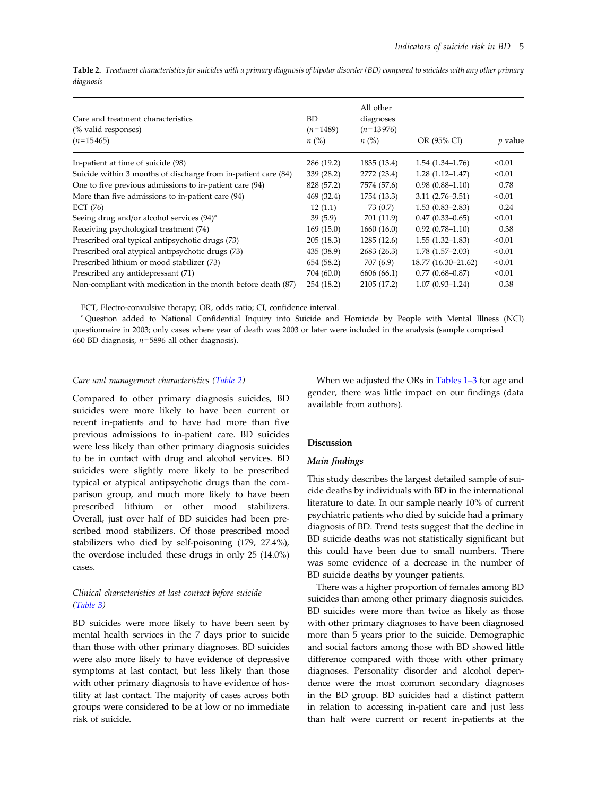| Care and treatment characteristics<br>(% valid responses)<br>$(n=15465)$ | BD<br>$(n=1489)$<br>$n(\%)$ | All other<br>diagnoses<br>$(n=13976)$<br>n (%) | OR (95% CI)         | <i>p</i> value |
|--------------------------------------------------------------------------|-----------------------------|------------------------------------------------|---------------------|----------------|
|                                                                          |                             |                                                |                     |                |
| In-patient at time of suicide (98)                                       | 286 (19.2)                  | 1835 (13.4)                                    | $1.54(1.34-1.76)$   | < 0.01         |
| Suicide within 3 months of discharge from in-patient care (84)           | 339 (28.2)                  | 2772 (23.4)                                    | $1.28(1.12 - 1.47)$ | < 0.01         |
| One to five previous admissions to in-patient care (94)                  | 828 (57.2)                  | 7574 (57.6)                                    | $0.98(0.88 - 1.10)$ | 0.78           |
| More than five admissions to in-patient care (94)                        | 469 (32.4)                  | 1754 (13.3)                                    | $3.11(2.76 - 3.51)$ | < 0.01         |
| ECT $(76)$                                                               | 12(1.1)                     | 73 (0.7)                                       | $1.53(0.83 - 2.83)$ | 0.24           |
| Seeing drug and/or alcohol services $(94)^a$                             | 39(5.9)                     | 701 (11.9)                                     | $0.47(0.33 - 0.65)$ | < 0.01         |
| Receiving psychological treatment (74)                                   | 169(15.0)                   | 1660(16.0)                                     | $0.92(0.78 - 1.10)$ | 0.38           |
| Prescribed oral typical antipsychotic drugs (73)                         | 205 (18.3)                  | 1285 (12.6)                                    | $1.55(1.32 - 1.83)$ | < 0.01         |
| Prescribed oral atypical antipsychotic drugs (73)                        | 435 (38.9)                  | 2683 (26.3)                                    | $1.78(1.57-2.03)$   | < 0.01         |
| Prescribed lithium or mood stabilizer (73)                               | 654 (58.2)                  | 707 (6.9)                                      | 18.77 (16.30–21.62) | < 0.01         |
| Prescribed any antidepressant (71)                                       | 704 (60.0)                  | 6606 (66.1)                                    | $0.77(0.68 - 0.87)$ | < 0.01         |
| Non-compliant with medication in the month before death (87)             | 254 (18.2)                  | 2105 (17.2)                                    | $1.07(0.93 - 1.24)$ | 0.38           |

Table 2. Treatment characteristics for suicides with a primary diagnosis of bipolar disorder (BD) compared to suicides with any other primary diagnosis

ECT, Electro-convulsive therapy; OR, odds ratio; CI, confidence interval.

<sup>a</sup> Question added to National Confidential Inquiry into Suicide and Homicide by People with Mental Illness (NCI) questionnaire in 2003; only cases where year of death was 2003 or later were included in the analysis (sample comprised 660 BD diagnosis,  $n=5896$  all other diagnosis).

#### Care and management characteristics (Table 2)

Compared to other primary diagnosis suicides, BD suicides were more likely to have been current or recent in-patients and to have had more than five previous admissions to in-patient care. BD suicides were less likely than other primary diagnosis suicides to be in contact with drug and alcohol services. BD suicides were slightly more likely to be prescribed typical or atypical antipsychotic drugs than the comparison group, and much more likely to have been prescribed lithium or other mood stabilizers. Overall, just over half of BD suicides had been prescribed mood stabilizers. Of those prescribed mood stabilizers who died by self-poisoning (179, 27.4%), the overdose included these drugs in only 25 (14.0%) cases.

## Clinical characteristics at last contact before suicide ([Table 3](#page-6-0))

BD suicides were more likely to have been seen by mental health services in the 7 days prior to suicide than those with other primary diagnoses. BD suicides were also more likely to have evidence of depressive symptoms at last contact, but less likely than those with other primary diagnosis to have evidence of hostility at last contact. The majority of cases across both groups were considered to be at low or no immediate risk of suicide.

When we adjusted the ORs in [Tables 1](#page-4-0)–3 for age and gender, there was little impact on our findings (data available from authors).

## Discussion

## Main findings

This study describes the largest detailed sample of suicide deaths by individuals with BD in the international literature to date. In our sample nearly 10% of current psychiatric patients who died by suicide had a primary diagnosis of BD. Trend tests suggest that the decline in BD suicide deaths was not statistically significant but this could have been due to small numbers. There was some evidence of a decrease in the number of BD suicide deaths by younger patients.

There was a higher proportion of females among BD suicides than among other primary diagnosis suicides. BD suicides were more than twice as likely as those with other primary diagnoses to have been diagnosed more than 5 years prior to the suicide. Demographic and social factors among those with BD showed little difference compared with those with other primary diagnoses. Personality disorder and alcohol dependence were the most common secondary diagnoses in the BD group. BD suicides had a distinct pattern in relation to accessing in-patient care and just less than half were current or recent in-patients at the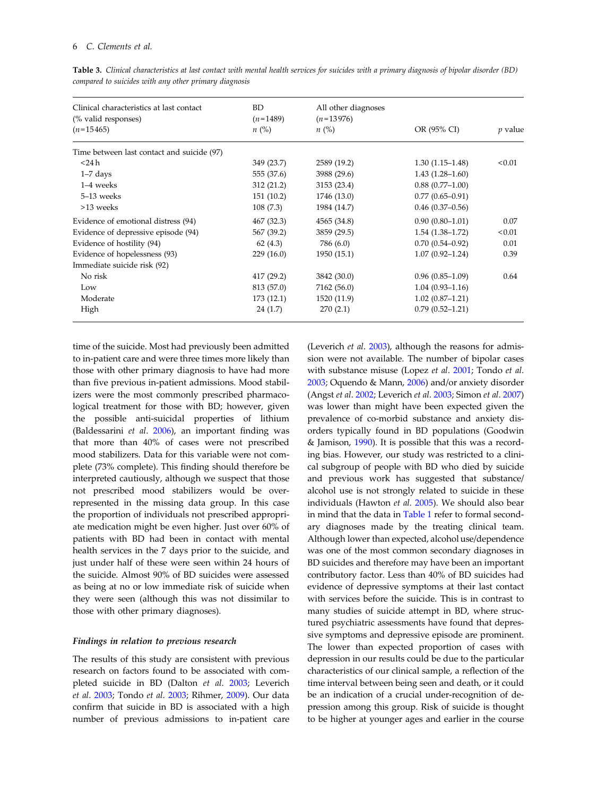| Clinical characteristics at last contact<br>(% valid responses) | <b>BD</b><br>$(n=1489)$ | All other diagnoses<br>$(n=13976)$ |                     | <i>p</i> value |
|-----------------------------------------------------------------|-------------------------|------------------------------------|---------------------|----------------|
| $(n=15465)$                                                     | $n\ (\%)$               | $n\ (\%)$                          | OR (95% CI)         |                |
| Time between last contact and suicide (97)                      |                         |                                    |                     |                |
| $<$ 24 h                                                        | 349 (23.7)              | 2589 (19.2)                        | $1.30(1.15-1.48)$   | < 0.01         |
| $1-7$ days                                                      | 555 (37.6)              | 3988 (29.6)                        | $1.43(1.28 - 1.60)$ |                |
| 1-4 weeks                                                       | 312 (21.2)              | 3153 (23.4)                        | $0.88(0.77-1.00)$   |                |
| 5-13 weeks                                                      | 151(10.2)               | 1746 (13.0)                        | $0.77(0.65 - 0.91)$ |                |
| >13 weeks                                                       | 108(7.3)                | 1984 (14.7)                        | $0.46(0.37-0.56)$   |                |
| Evidence of emotional distress (94)                             | 467 (32.3)              | 4565 (34.8)                        | $0.90(0.80 - 1.01)$ | 0.07           |
| Evidence of depressive episode (94)                             | 567 (39.2)              | 3859 (29.5)                        | $1.54(1.38-1.72)$   | < 0.01         |
| Evidence of hostility (94)                                      | 62(4.3)                 | 786 (6.0)                          | $0.70(0.54 - 0.92)$ | 0.01           |
| Evidence of hopelessness (93)                                   | 229(16.0)               | 1950 (15.1)                        | $1.07(0.92 - 1.24)$ | 0.39           |
| Immediate suicide risk (92)                                     |                         |                                    |                     |                |
| No risk                                                         | 417 (29.2)              | 3842 (30.0)                        | $0.96(0.85-1.09)$   | 0.64           |
| Low                                                             | 813 (57.0)              | 7162 (56.0)                        | $1.04(0.93 - 1.16)$ |                |
| Moderate                                                        | 173(12.1)               | 1520 (11.9)                        | $1.02(0.87-1.21)$   |                |
| High                                                            | 24 (1.7)                | 270(2.1)                           | $0.79(0.52 - 1.21)$ |                |

<span id="page-6-0"></span>Table 3. Clinical characteristics at last contact with mental health services for suicides with a primary diagnosis of bipolar disorder (BD) compared to suicides with any other primary diagnosis

time of the suicide. Most had previously been admitted to in-patient care and were three times more likely than those with other primary diagnosis to have had more than five previous in-patient admissions. Mood stabilizers were the most commonly prescribed pharmacological treatment for those with BD; however, given the possible anti-suicidal properties of lithium (Baldessarini et al. 2006), an important finding was that more than 40% of cases were not prescribed mood stabilizers. Data for this variable were not complete (73% complete). This finding should therefore be interpreted cautiously, although we suspect that those not prescribed mood stabilizers would be overrepresented in the missing data group. In this case the proportion of individuals not prescribed appropriate medication might be even higher. Just over 60% of patients with BD had been in contact with mental health services in the 7 days prior to the suicide, and just under half of these were seen within 24 hours of the suicide. Almost 90% of BD suicides were assessed as being at no or low immediate risk of suicide when they were seen (although this was not dissimilar to those with other primary diagnoses).

#### Findings in relation to previous research

The results of this study are consistent with previous research on factors found to be associated with completed suicide in BD (Dalton et al. 2003; Leverich et al. 2003; Tondo et al. 2003; Rihmer, 2009). Our data confirm that suicide in BD is associated with a high number of previous admissions to in-patient care

(Leverich et al. 2003), although the reasons for admission were not available. The number of bipolar cases with substance misuse (Lopez et al. 2001; Tondo et al. 2003; Oquendo & Mann, 2006) and/or anxiety disorder (Angst et al. 2002; Leverich et al. 2003; Simon et al. 2007) was lower than might have been expected given the prevalence of co-morbid substance and anxiety disorders typically found in BD populations (Goodwin & Jamison, 1990). It is possible that this was a recording bias. However, our study was restricted to a clinical subgroup of people with BD who died by suicide and previous work has suggested that substance/ alcohol use is not strongly related to suicide in these individuals (Hawton et al. 2005). We should also bear in mind that the data in [Table 1](#page-4-0) refer to formal secondary diagnoses made by the treating clinical team. Although lower than expected, alcohol use/dependence was one of the most common secondary diagnoses in BD suicides and therefore may have been an important contributory factor. Less than 40% of BD suicides had evidence of depressive symptoms at their last contact with services before the suicide. This is in contrast to many studies of suicide attempt in BD, where structured psychiatric assessments have found that depressive symptoms and depressive episode are prominent. The lower than expected proportion of cases with depression in our results could be due to the particular characteristics of our clinical sample, a reflection of the time interval between being seen and death, or it could be an indication of a crucial under-recognition of depression among this group. Risk of suicide is thought to be higher at younger ages and earlier in the course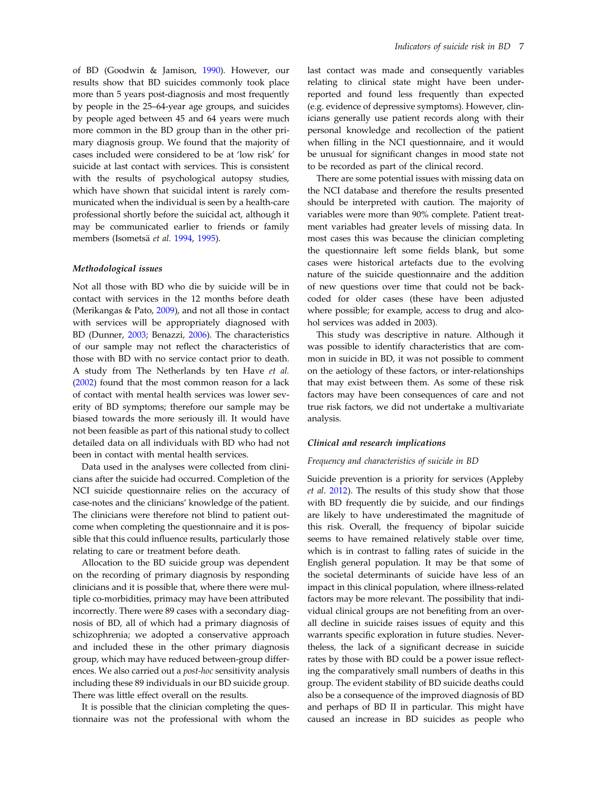of BD (Goodwin & Jamison, 1990). However, our results show that BD suicides commonly took place more than 5 years post-diagnosis and most frequently by people in the 25–64-year age groups, and suicides by people aged between 45 and 64 years were much more common in the BD group than in the other primary diagnosis group. We found that the majority of cases included were considered to be at 'low risk' for suicide at last contact with services. This is consistent with the results of psychological autopsy studies, which have shown that suicidal intent is rarely communicated when the individual is seen by a health-care professional shortly before the suicidal act, although it may be communicated earlier to friends or family members (Isometsä et al. 1994, 1995).

#### Methodological issues

Not all those with BD who die by suicide will be in contact with services in the 12 months before death (Merikangas & Pato, 2009), and not all those in contact with services will be appropriately diagnosed with BD (Dunner, 2003; Benazzi, 2006). The characteristics of our sample may not reflect the characteristics of those with BD with no service contact prior to death. A study from The Netherlands by ten Have et al. (2002) found that the most common reason for a lack of contact with mental health services was lower severity of BD symptoms; therefore our sample may be biased towards the more seriously ill. It would have not been feasible as part of this national study to collect detailed data on all individuals with BD who had not been in contact with mental health services.

Data used in the analyses were collected from clinicians after the suicide had occurred. Completion of the NCI suicide questionnaire relies on the accuracy of case-notes and the clinicians' knowledge of the patient. The clinicians were therefore not blind to patient outcome when completing the questionnaire and it is possible that this could influence results, particularly those relating to care or treatment before death.

Allocation to the BD suicide group was dependent on the recording of primary diagnosis by responding clinicians and it is possible that, where there were multiple co-morbidities, primacy may have been attributed incorrectly. There were 89 cases with a secondary diagnosis of BD, all of which had a primary diagnosis of schizophrenia; we adopted a conservative approach and included these in the other primary diagnosis group, which may have reduced between-group differences. We also carried out a post-hoc sensitivity analysis including these 89 individuals in our BD suicide group. There was little effect overall on the results.

It is possible that the clinician completing the questionnaire was not the professional with whom the last contact was made and consequently variables relating to clinical state might have been underreported and found less frequently than expected (e.g. evidence of depressive symptoms). However, clinicians generally use patient records along with their personal knowledge and recollection of the patient when filling in the NCI questionnaire, and it would be unusual for significant changes in mood state not to be recorded as part of the clinical record.

There are some potential issues with missing data on the NCI database and therefore the results presented should be interpreted with caution. The majority of variables were more than 90% complete. Patient treatment variables had greater levels of missing data. In most cases this was because the clinician completing the questionnaire left some fields blank, but some cases were historical artefacts due to the evolving nature of the suicide questionnaire and the addition of new questions over time that could not be backcoded for older cases (these have been adjusted where possible; for example, access to drug and alcohol services was added in 2003).

This study was descriptive in nature. Although it was possible to identify characteristics that are common in suicide in BD, it was not possible to comment on the aetiology of these factors, or inter-relationships that may exist between them. As some of these risk factors may have been consequences of care and not true risk factors, we did not undertake a multivariate analysis.

#### Clinical and research implications

## Frequency and characteristics of suicide in BD

Suicide prevention is a priority for services (Appleby et al. 2012). The results of this study show that those with BD frequently die by suicide, and our findings are likely to have underestimated the magnitude of this risk. Overall, the frequency of bipolar suicide seems to have remained relatively stable over time, which is in contrast to falling rates of suicide in the English general population. It may be that some of the societal determinants of suicide have less of an impact in this clinical population, where illness-related factors may be more relevant. The possibility that individual clinical groups are not benefiting from an overall decline in suicide raises issues of equity and this warrants specific exploration in future studies. Nevertheless, the lack of a significant decrease in suicide rates by those with BD could be a power issue reflecting the comparatively small numbers of deaths in this group. The evident stability of BD suicide deaths could also be a consequence of the improved diagnosis of BD and perhaps of BD II in particular. This might have caused an increase in BD suicides as people who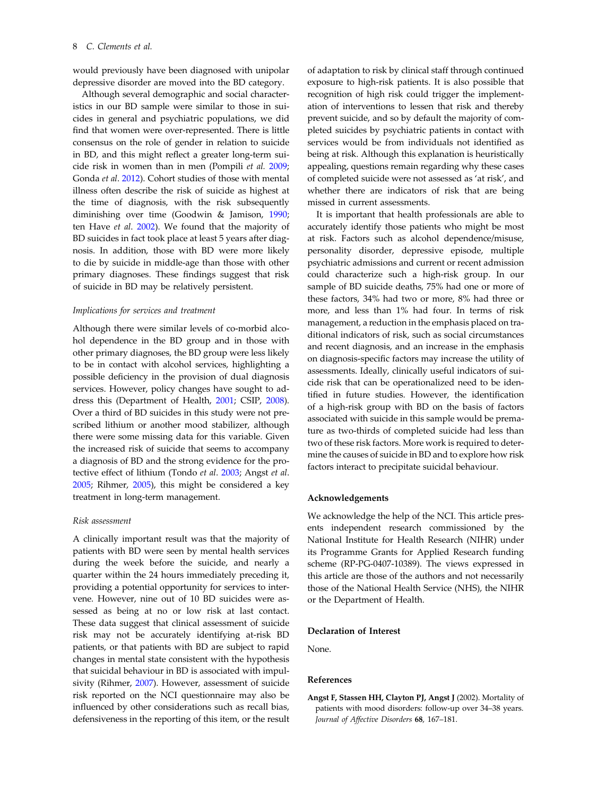would previously have been diagnosed with unipolar depressive disorder are moved into the BD category.

Although several demographic and social characteristics in our BD sample were similar to those in suicides in general and psychiatric populations, we did find that women were over-represented. There is little consensus on the role of gender in relation to suicide in BD, and this might reflect a greater long-term suicide risk in women than in men (Pompili et al. 2009; Gonda et al. 2012). Cohort studies of those with mental illness often describe the risk of suicide as highest at the time of diagnosis, with the risk subsequently diminishing over time (Goodwin & Jamison, 1990; ten Have et al. 2002). We found that the majority of BD suicides in fact took place at least 5 years after diagnosis. In addition, those with BD were more likely to die by suicide in middle-age than those with other primary diagnoses. These findings suggest that risk of suicide in BD may be relatively persistent.

#### Implications for services and treatment

Although there were similar levels of co-morbid alcohol dependence in the BD group and in those with other primary diagnoses, the BD group were less likely to be in contact with alcohol services, highlighting a possible deficiency in the provision of dual diagnosis services. However, policy changes have sought to address this (Department of Health, 2001; CSIP, 2008). Over a third of BD suicides in this study were not prescribed lithium or another mood stabilizer, although there were some missing data for this variable. Given the increased risk of suicide that seems to accompany a diagnosis of BD and the strong evidence for the protective effect of lithium (Tondo et al. 2003; Angst et al. 2005; Rihmer, 2005), this might be considered a key treatment in long-term management.

#### Risk assessment

A clinically important result was that the majority of patients with BD were seen by mental health services during the week before the suicide, and nearly a quarter within the 24 hours immediately preceding it, providing a potential opportunity for services to intervene. However, nine out of 10 BD suicides were assessed as being at no or low risk at last contact. These data suggest that clinical assessment of suicide risk may not be accurately identifying at-risk BD patients, or that patients with BD are subject to rapid changes in mental state consistent with the hypothesis that suicidal behaviour in BD is associated with impulsivity (Rihmer, 2007). However, assessment of suicide risk reported on the NCI questionnaire may also be influenced by other considerations such as recall bias, defensiveness in the reporting of this item, or the result

of adaptation to risk by clinical staff through continued exposure to high-risk patients. It is also possible that recognition of high risk could trigger the implementation of interventions to lessen that risk and thereby prevent suicide, and so by default the majority of completed suicides by psychiatric patients in contact with services would be from individuals not identified as being at risk. Although this explanation is heuristically appealing, questions remain regarding why these cases of completed suicide were not assessed as 'at risk', and whether there are indicators of risk that are being missed in current assessments.

It is important that health professionals are able to accurately identify those patients who might be most at risk. Factors such as alcohol dependence/misuse, personality disorder, depressive episode, multiple psychiatric admissions and current or recent admission could characterize such a high-risk group. In our sample of BD suicide deaths, 75% had one or more of these factors, 34% had two or more, 8% had three or more, and less than 1% had four. In terms of risk management, a reduction in the emphasis placed on traditional indicators of risk, such as social circumstances and recent diagnosis, and an increase in the emphasis on diagnosis-specific factors may increase the utility of assessments. Ideally, clinically useful indicators of suicide risk that can be operationalized need to be identified in future studies. However, the identification of a high-risk group with BD on the basis of factors associated with suicide in this sample would be premature as two-thirds of completed suicide had less than two of these risk factors. More work is required to determine the causes of suicide in BD and to explore how risk factors interact to precipitate suicidal behaviour.

#### Acknowledgements

We acknowledge the help of the NCI. This article presents independent research commissioned by the National Institute for Health Research (NIHR) under its Programme Grants for Applied Research funding scheme (RP-PG-0407-10389). The views expressed in this article are those of the authors and not necessarily those of the National Health Service (NHS), the NIHR or the Department of Health.

#### Declaration of Interest

None.

#### References

Angst F, Stassen HH, Clayton PJ, Angst J (2002). Mortality of patients with mood disorders: follow-up over 34–38 years. Journal of Affective Disorders 68, 167–181.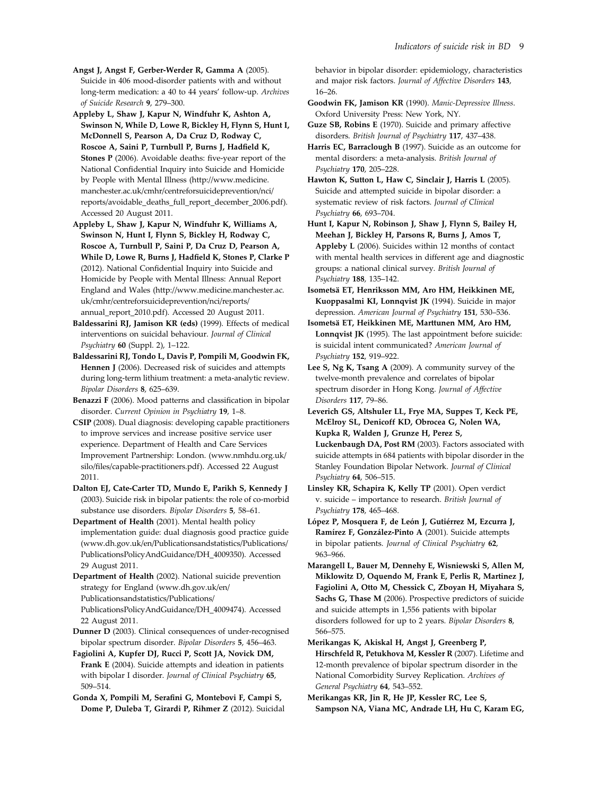Angst J, Angst F, Gerber-Werder R, Gamma A (2005). Suicide in 406 mood-disorder patients with and without long-term medication: a 40 to 44 years' follow-up. Archives of Suicide Research 9, 279–300.

Appleby L, Shaw J, Kapur N, Windfuhr K, Ashton A, Swinson N, While D, Lowe R, Bickley H, Flynn S, Hunt I, McDonnell S, Pearson A, Da Cruz D, Rodway C, Roscoe A, Saini P, Turnbull P, Burns J, Hadfield K, Stones P (2006). Avoidable deaths: five-year report of the National Confidential Inquiry into Suicide and Homicide by People with Mental Illness (http://www.medicine. manchester.ac.uk/cmhr/centreforsuicideprevention/nci/ reports/avoidable\_deaths\_full\_report\_december\_2006.pdf). Accessed 20 August 2011.

Appleby L, Shaw J, Kapur N, Windfuhr K, Williams A, Swinson N, Hunt I, Flynn S, Bickley H, Rodway C, Roscoe A, Turnbull P, Saini P, Da Cruz D, Pearson A, While D, Lowe R, Burns J, Hadfield K, Stones P, Clarke P (2012). National Confidential Inquiry into Suicide and Homicide by People with Mental Illness: Annual Report England and Wales (http://www.medicine.manchester.ac. uk/cmhr/centreforsuicideprevention/nci/reports/ annual report 2010.pdf). Accessed 20 August 2011.

Baldessarini RJ, Jamison KR (eds) (1999). Effects of medical interventions on suicidal behaviour. Journal of Clinical Psychiatry 60 (Suppl. 2), 1–122.

Baldessarini RJ, Tondo L, Davis P, Pompili M, Goodwin FK, Hennen J (2006). Decreased risk of suicides and attempts during long-term lithium treatment: a meta-analytic review. Bipolar Disorders 8, 625–639.

Benazzi F (2006). Mood patterns and classification in bipolar disorder. Current Opinion in Psychiatry 19, 1–8.

CSIP (2008). Dual diagnosis: developing capable practitioners to improve services and increase positive service user experience. Department of Health and Care Services Improvement Partnership: London. (www.nmhdu.org.uk/ silo/files/capable-practitioners.pdf). Accessed 22 August 2011.

Dalton EJ, Cate-Carter TD, Mundo E, Parikh S, Kennedy J (2003). Suicide risk in bipolar patients: the role of co-morbid substance use disorders. Bipolar Disorders 5, 58–61.

Department of Health (2001). Mental health policy implementation guide: dual diagnosis good practice guide (www.dh.gov.uk/en/Publicationsandstatistics/Publications/ PublicationsPolicyAndGuidance/DH\_4009350). Accessed 29 August 2011.

Department of Health (2002). National suicide prevention strategy for England (www.dh.gov.uk/en/ Publicationsandstatistics/Publications/ PublicationsPolicyAndGuidance/DH\_4009474). Accessed 22 August 2011.

Dunner D (2003). Clinical consequences of under-recognised bipolar spectrum disorder. Bipolar Disorders 5, 456–463.

Fagiolini A, Kupfer DJ, Rucci P, Scott JA, Novick DM, Frank E (2004). Suicide attempts and ideation in patients with bipolar I disorder. Journal of Clinical Psychiatry 65, 509–514.

Gonda X, Pompili M, Serafini G, Montebovi F, Campi S, Dome P, Duleba T, Girardi P, Rihmer Z (2012). Suicidal behavior in bipolar disorder: epidemiology, characteristics and major risk factors. Journal of Affective Disorders 143, 16–26.

Goodwin FK, Jamison KR (1990). Manic-Depressive Illness. Oxford University Press: New York, NY.

Guze SB, Robins E (1970). Suicide and primary affective disorders. British Journal of Psychiatry 117, 437–438.

Harris EC, Barraclough B (1997). Suicide as an outcome for mental disorders: a meta-analysis. British Journal of Psychiatry 170, 205–228.

Hawton K, Sutton L, Haw C, Sinclair J, Harris L (2005). Suicide and attempted suicide in bipolar disorder: a systematic review of risk factors. Journal of Clinical Psychiatry 66, 693–704.

Hunt I, Kapur N, Robinson J, Shaw J, Flynn S, Bailey H, Meehan J, Bickley H, Parsons R, Burns J, Amos T, Appleby L (2006). Suicides within 12 months of contact with mental health services in different age and diagnostic groups: a national clinical survey. British Journal of Psychiatry 188, 135–142.

Isometsä ET, Henriksson MM, Aro HM, Heikkinen ME, Kuoppasalmi KI, Lonnqvist JK (1994). Suicide in major depression. American Journal of Psychiatry 151, 530–536.

Isometsä ET, Heikkinen ME, Marttunen MM, Aro HM, Lonnqvist JK (1995). The last appointment before suicide: is suicidal intent communicated? American Journal of Psychiatry 152, 919–922.

Lee S, Ng K, Tsang A (2009). A community survey of the twelve-month prevalence and correlates of bipolar spectrum disorder in Hong Kong. Journal of Affective Disorders 117, 79–86.

Leverich GS, Altshuler LL, Frye MA, Suppes T, Keck PE, McElroy SL, Denicoff KD, Obrocea G, Nolen WA, Kupka R, Walden J, Grunze H, Perez S, Luckenbaugh DA, Post RM (2003). Factors associated with suicide attempts in 684 patients with bipolar disorder in the Stanley Foundation Bipolar Network. Journal of Clinical Psychiatry 64, 506–515.

Linsley KR, Schapira K, Kelly TP (2001). Open verdict v. suicide – importance to research. British Journal of Psychiatry 178, 465–468.

López P, Mosquera F, de León J, Gutiérrez M, Ezcurra J, Ramírez F, González-Pinto A (2001). Suicide attempts in bipolar patients. Journal of Clinical Psychiatry 62, 963–966.

Marangell L, Bauer M, Dennehy E, Wisniewski S, Allen M, Miklowitz D, Oquendo M, Frank E, Perlis R, Martinez J, Fagiolini A, Otto M, Chessick C, Zboyan H, Miyahara S, Sachs G, Thase M (2006). Prospective predictors of suicide and suicide attempts in 1,556 patients with bipolar disorders followed for up to 2 years. Bipolar Disorders 8, 566–575.

Merikangas K, Akiskal H, Angst J, Greenberg P, Hirschfeld R, Petukhova M, Kessler R (2007). Lifetime and 12-month prevalence of bipolar spectrum disorder in the National Comorbidity Survey Replication. Archives of General Psychiatry 64, 543–552.

Merikangas KR, Jin R, He JP, Kessler RC, Lee S, Sampson NA, Viana MC, Andrade LH, Hu C, Karam EG,